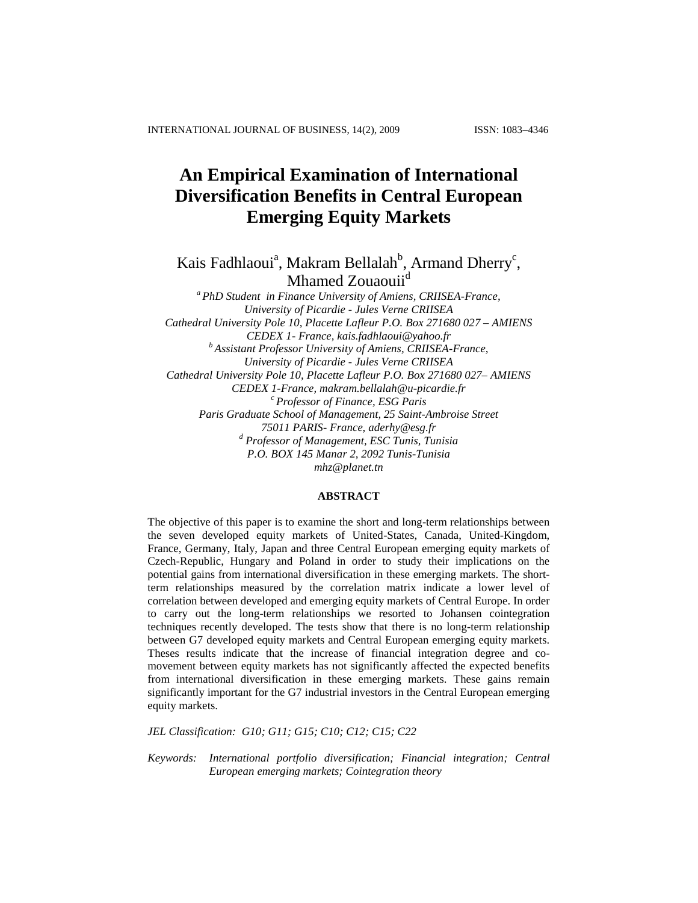# **An Empirical Examination of International Diversification Benefits in Central European Emerging Equity Markets**

Kais Fadhlaoui<sup>a</sup>, Makram Bellalah<sup>b</sup>, Armand Dherry<sup>c</sup>, Mhamed Zouaouii<sup>d</sup>

*<sup>a</sup> PhD Student in Finance University of Amiens, CRIISEA-France, University of Picardie - Jules Verne CRIISEA Cathedral University Pole 10, Placette Lafleur P.O. Box 271680 027 – AMIENS CEDEX 1- France, [kais.fadhlaoui@yahoo.fr](mailto:kais.fadhlaoui@yahoo.fr) <sup>b</sup> Assistant Professor University of Amiens, CRIISEA-France, University of Picardie - Jules Verne CRIISEA Cathedral University Pole 10, Placette Lafleur P.O. Box 271680 027– AMIENS CEDEX 1-France, [makram.bellalah@u-picardie.fr](mailto:makram.bellalah@u-picardie.fr) <sup>c</sup> Professor of Finance, ESG Paris Paris Graduate School of Management, 25 Saint-Ambroise Street 75011 PARIS- France, [aderhy@esg.fr](http://us.mc327.mail.yahoo.com/mc/compose?to=aderhy@esg.fr) <sup>d</sup> Professor of Management, ESC Tunis, Tunisia P.O. BOX 145 Manar 2, 2092 Tunis-Tunisia [mhz@planet.tn](http://us.mc327.mail.yahoo.com/mc/compose?to=mhz@planet.tn)*

# **ABSTRACT**

The objective of this paper is to examine the short and long-term relationships between the seven developed equity markets of United-States, Canada, United-Kingdom, France, Germany, Italy, Japan and three Central European emerging equity markets of Czech-Republic, Hungary and Poland in order to study their implications on the potential gains from international diversification in these emerging markets. The shortterm relationships measured by the correlation matrix indicate a lower level of correlation between developed and emerging equity markets of Central Europe. In order to carry out the long-term relationships we resorted to Johansen cointegration techniques recently developed. The tests show that there is no long-term relationship between G7 developed equity markets and Central European emerging equity markets. Theses results indicate that the increase of financial integration degree and comovement between equity markets has not significantly affected the expected benefits from international diversification in these emerging markets. These gains remain significantly important for the G7 industrial investors in the Central European emerging equity markets.

*JEL Classification: G10; G11; G15; C10; C12; C15; C22*

*Keywords: International portfolio diversification; Financial integration; Central European emerging markets; Cointegration theory*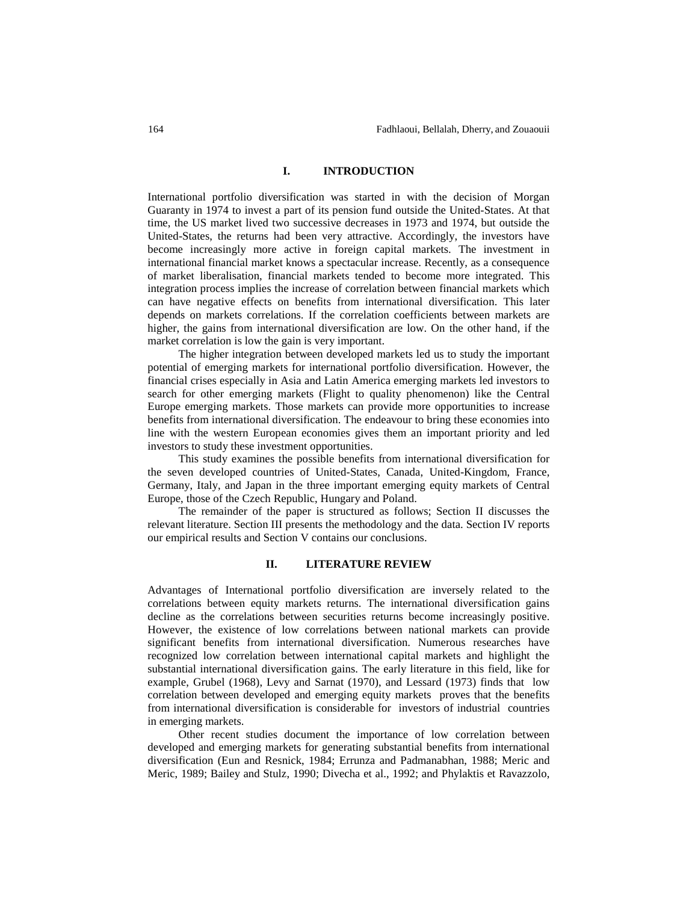## **I. INTRODUCTION**

International portfolio diversification was started in with the decision of Morgan Guaranty in 1974 to invest a part of its pension fund outside the United-States. At that time, the US market lived two successive decreases in 1973 and 1974, but outside the United-States, the returns had been very attractive. Accordingly, the investors have become increasingly more active in foreign capital markets. The investment in international financial market knows a spectacular increase. Recently, as a consequence of market liberalisation, financial markets tended to become more integrated. This integration process implies the increase of correlation between financial markets which can have negative effects on benefits from international diversification. This later depends on markets correlations. If the correlation coefficients between markets are higher, the gains from international diversification are low. On the other hand, if the market correlation is low the gain is very important.

The higher integration between developed markets led us to study the important potential of emerging markets for international portfolio diversification. However, the financial crises especially in Asia and Latin America emerging markets led investors to search for other emerging markets (Flight to quality phenomenon) like the Central Europe emerging markets. Those markets can provide more opportunities to increase benefits from international diversification. The endeavour to bring these economies into line with the western European economies gives them an important priority and led investors to study these investment opportunities.

This study examines the possible benefits from international diversification for the seven developed countries of United-States, Canada, United-Kingdom, France, Germany, Italy, and Japan in the three important emerging equity markets of Central Europe, those of the Czech Republic, Hungary and Poland.

The remainder of the paper is structured as follows; Section II discusses the relevant literature. Section III presents the methodology and the data. Section IV reports our empirical results and Section V contains our conclusions.

## **II. LITERATURE REVIEW**

Advantages of International portfolio diversification are inversely related to the correlations between equity markets returns. The international diversification gains decline as the correlations between securities returns become increasingly positive. However, the existence of low correlations between national markets can provide significant benefits from international diversification. Numerous researches have recognized low correlation between international capital markets and highlight the substantial international diversification gains. The early literature in this field, like for example, Grubel (1968), Levy and Sarnat (1970), and Lessard (1973) finds that low correlation between developed and emerging equity markets proves that the benefits from international diversification is considerable for investors of industrial countries in emerging markets.

Other recent studies document the importance of low correlation between developed and emerging markets for generating substantial benefits from international diversification (Eun and Resnick, 1984; Errunza and Padmanabhan, 1988; Meric and Meric, 1989; Bailey and Stulz, 1990; Divecha et al., 1992; and Phylaktis et Ravazzolo,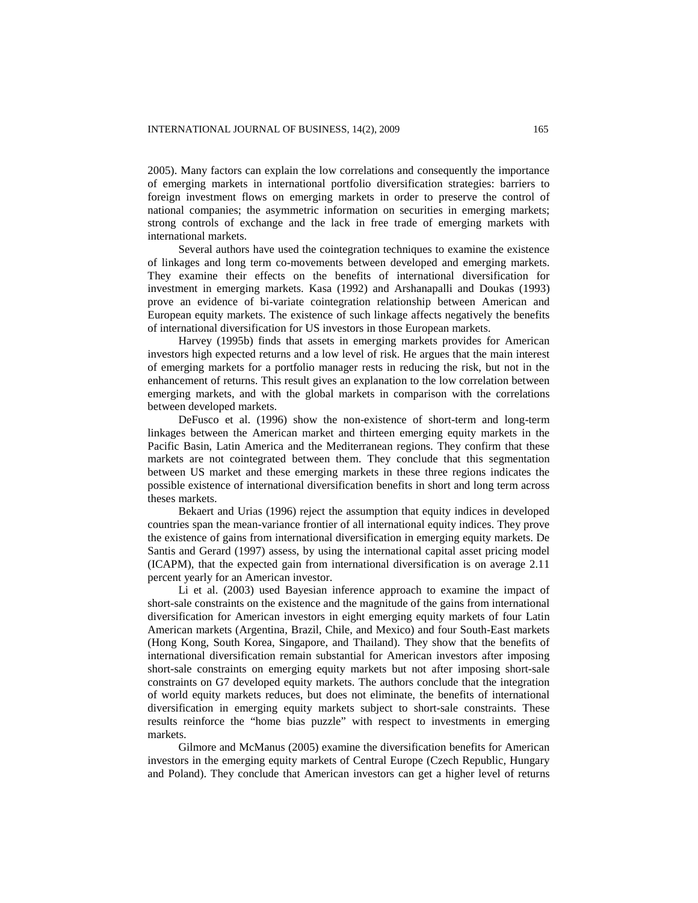2005). Many factors can explain the low correlations and consequently the importance of emerging markets in international portfolio diversification strategies: barriers to foreign investment flows on emerging markets in order to preserve the control of national companies; the asymmetric information on securities in emerging markets; strong controls of exchange and the lack in free trade of emerging markets with international markets.

Several authors have used the cointegration techniques to examine the existence of linkages and long term co-movements between developed and emerging markets. They examine their effects on the benefits of international diversification for investment in emerging markets. Kasa (1992) and Arshanapalli and Doukas (1993) prove an evidence of bi-variate cointegration relationship between American and European equity markets. The existence of such linkage affects negatively the benefits of international diversification for US investors in those European markets.

Harvey (1995b) finds that assets in emerging markets provides for American investors high expected returns and a low level of risk. He argues that the main interest of emerging markets for a portfolio manager rests in reducing the risk, but not in the enhancement of returns. This result gives an explanation to the low correlation between emerging markets, and with the global markets in comparison with the correlations between developed markets.

DeFusco et al. (1996) show the non-existence of short-term and long-term linkages between the American market and thirteen emerging equity markets in the Pacific Basin, Latin America and the Mediterranean regions. They confirm that these markets are not cointegrated between them. They conclude that this segmentation between US market and these emerging markets in these three regions indicates the possible existence of international diversification benefits in short and long term across theses markets.

Bekaert and Urias (1996) reject the assumption that equity indices in developed countries span the mean-variance frontier of all international equity indices. They prove the existence of gains from international diversification in emerging equity markets. De Santis and Gerard (1997) assess, by using the international capital asset pricing model (ICAPM), that the expected gain from international diversification is on average 2.11 percent yearly for an American investor.

Li et al. (2003) used Bayesian inference approach to examine the impact of short-sale constraints on the existence and the magnitude of the gains from international diversification for American investors in eight emerging equity markets of four Latin American markets (Argentina, Brazil, Chile, and Mexico) and four South-East markets (Hong Kong, South Korea, Singapore, and Thailand). They show that the benefits of international diversification remain substantial for American investors after imposing short-sale constraints on emerging equity markets but not after imposing short-sale constraints on G7 developed equity markets. The authors conclude that the integration of world equity markets reduces, but does not eliminate, the benefits of international diversification in emerging equity markets subject to short-sale constraints. These results reinforce the "home bias puzzle" with respect to investments in emerging markets.

Gilmore and McManus (2005) examine the diversification benefits for American investors in the emerging equity markets of Central Europe (Czech Republic, Hungary and Poland). They conclude that American investors can get a higher level of returns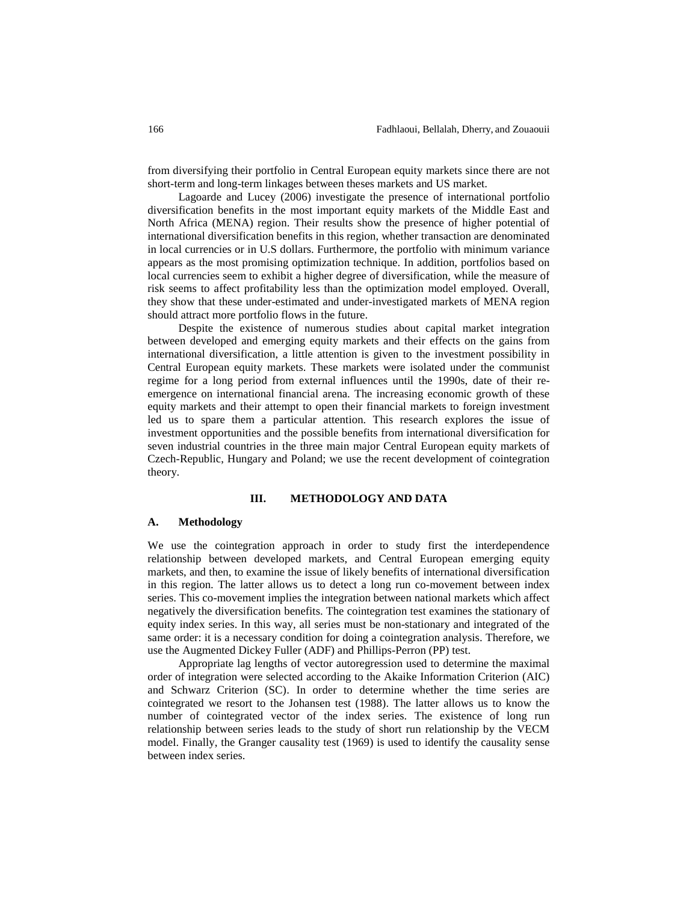from diversifying their portfolio in Central European equity markets since there are not short-term and long-term linkages between theses markets and US market.

Lagoarde and Lucey (2006) investigate the presence of international portfolio diversification benefits in the most important equity markets of the Middle East and North Africa (MENA) region. Their results show the presence of higher potential of international diversification benefits in this region, whether transaction are denominated in local currencies or in U.S dollars. Furthermore, the portfolio with minimum variance appears as the most promising optimization technique. In addition, portfolios based on local currencies seem to exhibit a higher degree of diversification, while the measure of risk seems to affect profitability less than the optimization model employed. Overall, they show that these under-estimated and under-investigated markets of MENA region should attract more portfolio flows in the future.

Despite the existence of numerous studies about capital market integration between developed and emerging equity markets and their effects on the gains from international diversification, a little attention is given to the investment possibility in Central European equity markets. These markets were isolated under the communist regime for a long period from external influences until the 1990s, date of their reemergence on international financial arena. The increasing economic growth of these equity markets and their attempt to open their financial markets to foreign investment led us to spare them a particular attention. This research explores the issue of investment opportunities and the possible benefits from international diversification for seven industrial countries in the three main major Central European equity markets of Czech-Republic, Hungary and Poland; we use the recent development of cointegration theory.

### **III. METHODOLOGY AND DATA**

#### **A. Methodology**

We use the cointegration approach in order to study first the interdependence relationship between developed markets, and Central European emerging equity markets, and then, to examine the issue of likely benefits of international diversification in this region. The latter allows us to detect a long run co-movement between index series. This co-movement implies the integration between national markets which affect negatively the diversification benefits. The cointegration test examines the stationary of equity index series. In this way, all series must be non-stationary and integrated of the same order: it is a necessary condition for doing a cointegration analysis. Therefore, we use the Augmented Dickey Fuller (ADF) and Phillips-Perron (PP) test.

Appropriate lag lengths of vector autoregression used to determine the maximal order of integration were selected according to the Akaike Information Criterion (AIC) and Schwarz Criterion (SC). In order to determine whether the time series are cointegrated we resort to the Johansen test (1988). The latter allows us to know the number of cointegrated vector of the index series. The existence of long run relationship between series leads to the study of short run relationship by the VECM model. Finally, the Granger causality test (1969) is used to identify the causality sense between index series.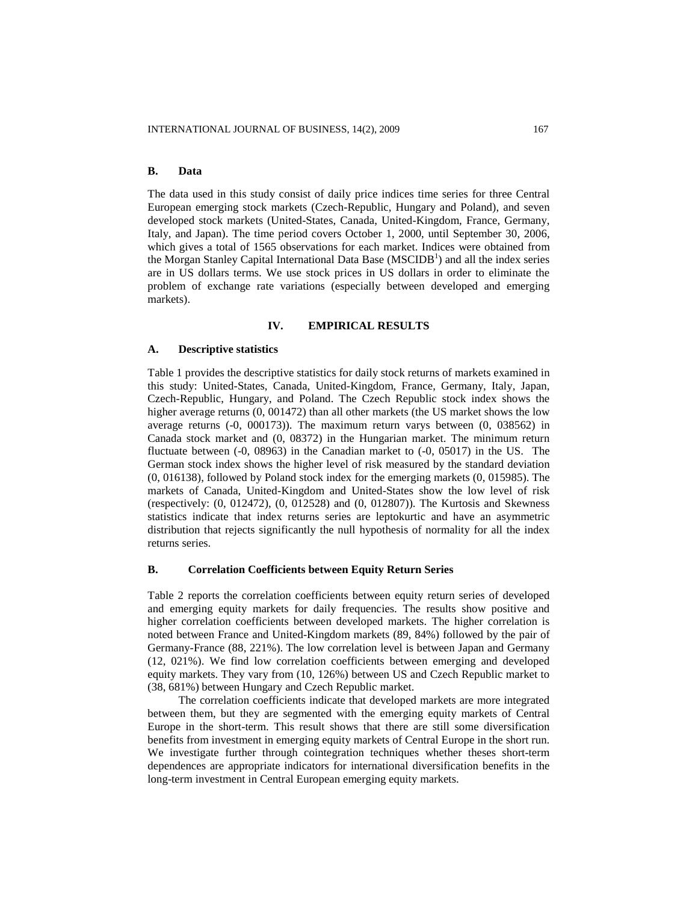# **B. Data**

The data used in this study consist of daily price indices time series for three Central European emerging stock markets (Czech-Republic, Hungary and Poland), and seven developed stock markets (United-States, Canada, United-Kingdom, France, Germany, Italy, and Japan). The time period covers October 1, 2000, until September 30, 2006, which gives a total of 1565 observations for each market. Indices were obtained from the Morgan Stanley Capital International Data Base  $(MSCIDB<sup>1</sup>)$  and all the index series are in US dollars terms. We use stock prices in US dollars in order to eliminate the problem of exchange rate variations (especially between developed and emerging markets).

## **IV. EMPIRICAL RESULTS**

#### **A. Descriptive statistics**

Table 1 provides the descriptive statistics for daily stock returns of markets examined in this study: United-States, Canada, United-Kingdom, France, Germany, Italy, Japan, Czech-Republic, Hungary, and Poland. The Czech Republic stock index shows the higher average returns  $(0, 001472)$  than all other markets (the US market shows the low average returns (-0, 000173)). The maximum return varys between (0, 038562) in Canada stock market and (0, 08372) in the Hungarian market. The minimum return fluctuate between (-0, 08963) in the Canadian market to (-0, 05017) in the US. The German stock index shows the higher level of risk measured by the standard deviation (0, 016138), followed by Poland stock index for the emerging markets (0, 015985). The markets of Canada, United-Kingdom and United-States show the low level of risk (respectively: (0, 012472), (0, 012528) and (0, 012807)). The Kurtosis and Skewness statistics indicate that index returns series are leptokurtic and have an asymmetric distribution that rejects significantly the null hypothesis of normality for all the index returns series.

## **B. Correlation Coefficients between Equity Return Series**

Table 2 reports the correlation coefficients between equity return series of developed and emerging equity markets for daily frequencies. The results show positive and higher correlation coefficients between developed markets. The higher correlation is noted between France and United-Kingdom markets (89, 84%) followed by the pair of Germany-France (88, 221%). The low correlation level is between Japan and Germany (12, 021%). We find low correlation coefficients between emerging and developed equity markets. They vary from (10, 126%) between US and Czech Republic market to (38, 681%) between Hungary and Czech Republic market.

The correlation coefficients indicate that developed markets are more integrated between them, but they are segmented with the emerging equity markets of Central Europe in the short-term. This result shows that there are still some diversification benefits from investment in emerging equity markets of Central Europe in the short run. We investigate further through cointegration techniques whether theses short-term dependences are appropriate indicators for international diversification benefits in the long-term investment in Central European emerging equity markets.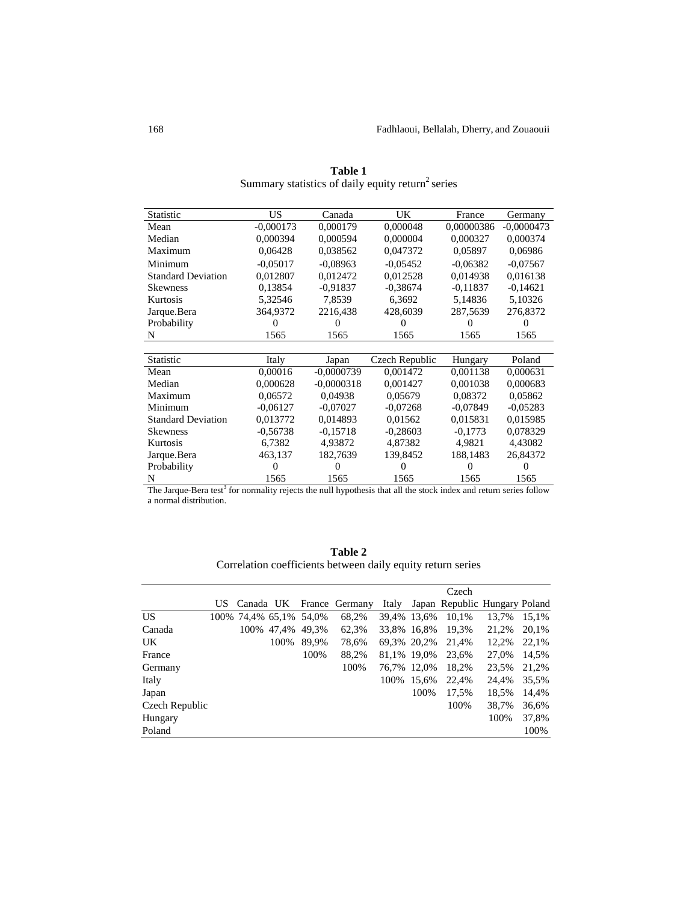| $-0,0000473$<br>0,000374<br>0,06986 |
|-------------------------------------|
|                                     |
|                                     |
|                                     |
| $-0.07567$                          |
| 0,016138                            |
| $-0,14621$                          |
| 5,10326                             |
| 276,8372                            |
|                                     |
| 1565                                |
|                                     |
| Poland                              |
| 0,000631                            |
| 0,000683                            |
| 0,05862                             |
| $-0,05283$                          |
| 0,015985                            |
| 0,078329                            |
| 4,43082                             |
| 26,84372                            |
| $\mathbf{\Omega}$                   |
| 1565                                |
|                                     |

**Table 1** Summary statistics of daily equity return<sup>2</sup> series

The Jarque-Bera test<sup>3</sup> for normality rejects the null hypothesis that all the stock index and return series follow a normal distribution.

| Table 2                                                     |
|-------------------------------------------------------------|
| Correlation coefficients between daily equity return series |

|                |    |                        |            |       |                |       |             | Czech                         |       |       |
|----------------|----|------------------------|------------|-------|----------------|-------|-------------|-------------------------------|-------|-------|
|                | US | Canada UK              |            |       | France Germany | Italy |             | Japan Republic Hungary Poland |       |       |
| <b>US</b>      |    | 100% 74,4% 65,1% 54,0% |            |       | 68,2%          |       | 39,4% 13,6% | 10,1%                         | 13.7% | 15.1% |
| Canada         |    |                        | 100% 47.4% | 49.3% | 62,3%          |       | 33,8% 16,8% | 19,3%                         | 21,2% | 20,1% |
| UK.            |    |                        | 100%       | 89.9% | 78,6%          |       | 69,3% 20,2% | 21,4%                         | 12,2% | 22,1% |
| France         |    |                        |            | 100%  | 88.2%          |       | 81.1% 19.0% | 23.6%                         | 27.0% | 14.5% |
| Germany        |    |                        |            |       | 100%           |       | 76,7% 12,0% | 18,2%                         | 23,5% | 21,2% |
| Italy          |    |                        |            |       |                | 100\% | 15,6%       | 22.4%                         | 24.4% | 35,5% |
| Japan          |    |                        |            |       |                |       | 100%        | 17,5%                         | 18,5% | 14,4% |
| Czech Republic |    |                        |            |       |                |       |             | 100%                          | 38,7% | 36,6% |
| Hungary        |    |                        |            |       |                |       |             |                               | 100%  | 37,8% |
| Poland         |    |                        |            |       |                |       |             |                               |       | 100%  |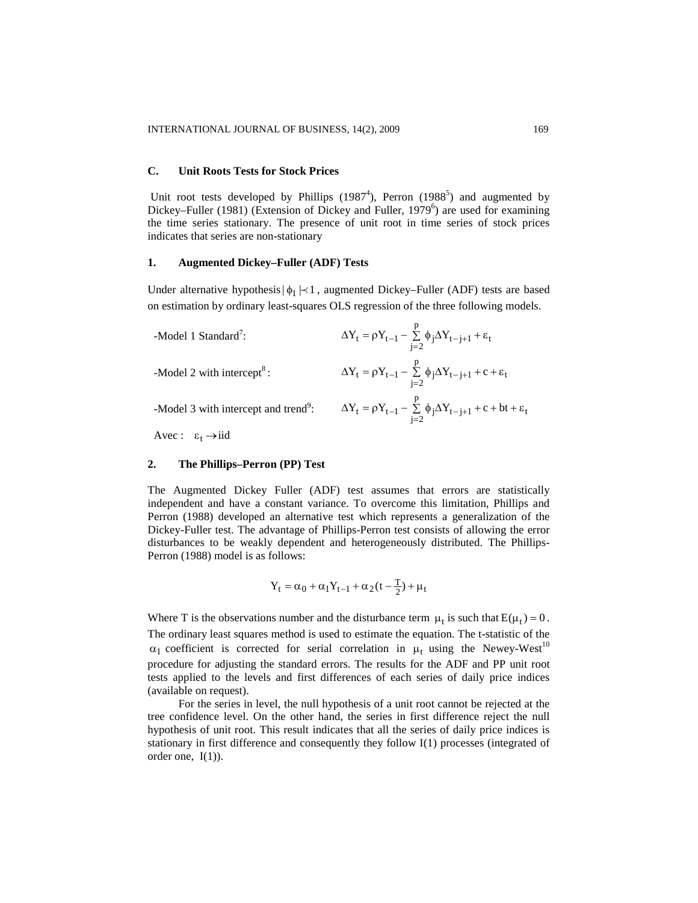#### **C. Unit Roots Tests for Stock Prices**

Unit root tests developed by Phillips  $(1987<sup>4</sup>)$ , Perron  $(1988<sup>5</sup>)$  and augmented by Dickey–Fuller (1981) (Extension of Dickey and Fuller, 1979<sup>6</sup>) are used for examining the time series stationary. The presence of unit root in time series of stock prices indicates that series are non-stationary

## **1. Augmented Dickey–Fuller (ADF) Tests**

Under alternative hypothesis $|\phi_1|$   $\leq$  1, augmented Dickey–Fuller (ADF) tests are based on estimation by ordinary least-squares OLS regression of the three following models.

| -Model 1 Standard <sup>7</sup> :                 | $\Delta Y_t = \rho Y_{t-1} - \sum_{i=2}^p \phi_i \Delta Y_{t-j+1} + \varepsilon_t$            |
|--------------------------------------------------|-----------------------------------------------------------------------------------------------|
| -Model 2 with intercept <sup>8</sup> :           | $\Delta Y_t = \rho Y_{t-1} - \sum_{i=2}^p \phi_j \Delta Y_{t-j+1} + c + \varepsilon_t$        |
| -Model 3 with intercept and trend <sup>9</sup> : | $\Delta Y_t = \rho Y_{t-1} - \sum_{i=2}^{p} \phi_j \Delta Y_{t-j+1} + c + bt + \varepsilon_t$ |
| Avec: $\epsilon_t \rightarrow \text{iid}$        |                                                                                               |

# **2. The Phillips–Perron (PP) Test**

The Augmented Dickey Fuller (ADF) test assumes that errors are statistically independent and have a constant variance. To overcome this limitation, Phillips and Perron (1988) developed an alternative test which represents a generalization of the Dickey-Fuller test. The advantage of Phillips-Perron test consists of allowing the error disturbances to be weakly dependent and heterogeneously distributed. The Phillips-Perron (1988) model is as follows:

$$
Y_t=\alpha_0+\alpha_1Y_{t-1}+\alpha_2(t-\tfrac{T}{2})+\mu_t
$$

Where T is the observations number and the disturbance term  $\mu_t$  is such that  $E(\mu_t) = 0$ . The ordinary least squares method is used to estimate the equation. The t-statistic of the  $\alpha_1$  coefficient is corrected for serial correlation in  $\mu_t$  using the Newey-West<sup>10</sup> procedure for adjusting the standard errors. The results for the ADF and PP unit root tests applied to the levels and first differences of each series of daily price indices (available on request).

For the series in level, the null hypothesis of a unit root cannot be rejected at the tree confidence level. On the other hand, the series in first difference reject the null hypothesis of unit root. This result indicates that all the series of daily price indices is stationary in first difference and consequently they follow I(1) processes (integrated of order one,  $I(1)$ ).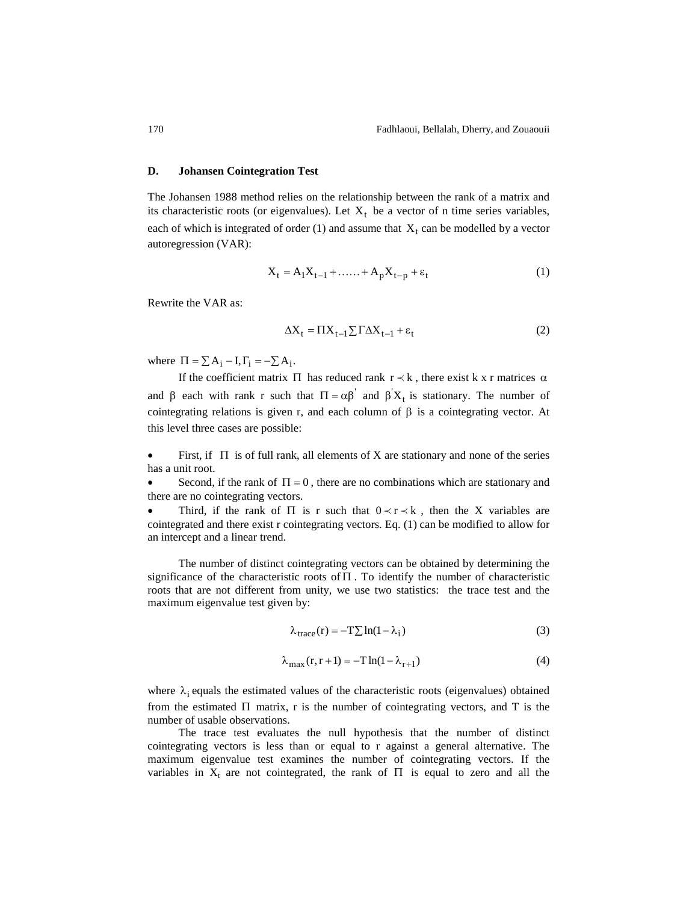### **D. Johansen Cointegration Test**

The Johansen 1988 method relies on the relationship between the rank of a matrix and its characteristic roots (or eigenvalues). Let  $X_t$  be a vector of n time series variables, each of which is integrated of order  $(1)$  and assume that  $X_t$  can be modelled by a vector autoregression (VAR):

$$
X_{t} = A_{1}X_{t-1} + \dots + A_{p}X_{t-p} + \varepsilon_{t}
$$
 (1)

Rewrite the VAR as:

$$
\Delta X_t = \Pi X_{t-1} \sum \Gamma \Delta X_{t-1} + \varepsilon_t \tag{2}
$$

where  $\Pi = \sum A_i - I$ ,  $\Gamma_i = -\sum A_i$ .

If the coefficient matrix  $\Pi$  has reduced rank  $r \prec k$ , there exist k x r matrices  $\alpha$ and  $\beta$  each with rank r such that  $\Pi = \alpha \beta'$  and  $\beta' X_t$  is stationary. The number of cointegrating relations is given r, and each column of  $\beta$  is a cointegrating vector. At this level three cases are possible:

 $\bullet$  First, if  $\Pi$  is of full rank, all elements of X are stationary and none of the series has a unit root.

Second, if the rank of  $\Pi = 0$ , there are no combinations which are stationary and there are no cointegrating vectors.

Third, if the rank of  $\Pi$  is r such that  $0 \lt r \lt k$ , then the X variables are cointegrated and there exist r cointegrating vectors. Eq. (1) can be modified to allow for an intercept and a linear trend.

The number of distinct cointegrating vectors can be obtained by determining the significance of the characteristic roots of  $\Pi$ . To identify the number of characteristic roots that are not different from unity, we use two statistics: the trace test and the maximum eigenvalue test given by:

$$
\lambda_{\text{trace}}(\mathbf{r}) = -\mathbf{T} \sum \ln(1 - \lambda_i) \tag{3}
$$

$$
\lambda_{\text{max}}(r, r+1) = -T \ln(1 - \lambda_{r+1}) \tag{4}
$$

where  $\lambda_i$  equals the estimated values of the characteristic roots (eigenvalues) obtained from the estimated  $\Pi$  matrix, r is the number of cointegrating vectors, and  $T$  is the number of usable observations.

The trace test evaluates the null hypothesis that the number of distinct cointegrating vectors is less than or equal to r against a general alternative. The maximum eigenvalue test examines the number of cointegrating vectors. If the variables in  $X_t$  are not cointegrated, the rank of  $\Pi$  is equal to zero and all the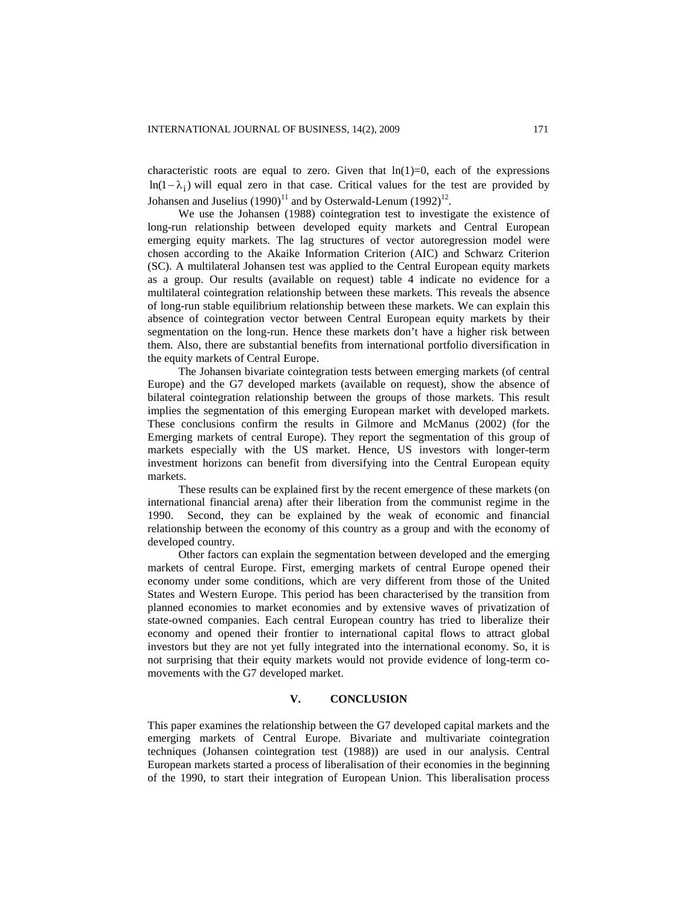characteristic roots are equal to zero. Given that  $ln(1)=0$ , each of the expressions  $ln(1 - \lambda_i)$  will equal zero in that case. Critical values for the test are provided by Johansen and Juselius  $(1990)^{11}$  and by Osterwald-Lenum  $(1992)^{12}$ .

We use the Johansen (1988) cointegration test to investigate the existence of long-run relationship between developed equity markets and Central European emerging equity markets. The lag structures of vector autoregression model were chosen according to the Akaike Information Criterion (AIC) and Schwarz Criterion (SC). A multilateral Johansen test was applied to the Central European equity markets as a group. Our results (available on request) table 4 indicate no evidence for a multilateral cointegration relationship between these markets. This reveals the absence of long-run stable equilibrium relationship between these markets. We can explain this absence of cointegration vector between Central European equity markets by their segmentation on the long-run. Hence these markets don't have a higher risk between them. Also, there are substantial benefits from international portfolio diversification in the equity markets of Central Europe.

The Johansen bivariate cointegration tests between emerging markets (of central Europe) and the G7 developed markets (available on request), show the absence of bilateral cointegration relationship between the groups of those markets. This result implies the segmentation of this emerging European market with developed markets. These conclusions confirm the results in Gilmore and McManus (2002) (for the Emerging markets of central Europe). They report the segmentation of this group of markets especially with the US market. Hence, US investors with longer-term investment horizons can benefit from diversifying into the Central European equity markets.

These results can be explained first by the recent emergence of these markets (on international financial arena) after their liberation from the communist regime in the 1990. Second, they can be explained by the weak of economic and financial relationship between the economy of this country as a group and with the economy of developed country.

Other factors can explain the segmentation between developed and the emerging markets of central Europe. First, emerging markets of central Europe opened their economy under some conditions, which are very different from those of the United States and Western Europe. This period has been characterised by the transition from planned economies to market economies and by extensive waves of privatization of state-owned companies. Each central European country has tried to liberalize their economy and opened their frontier to international capital flows to attract global investors but they are not yet fully integrated into the international economy. So, it is not surprising that their equity markets would not provide evidence of long-term comovements with the G7 developed market.

### **V. CONCLUSION**

This paper examines the relationship between the G7 developed capital markets and the emerging markets of Central Europe. Bivariate and multivariate cointegration techniques (Johansen cointegration test (1988)) are used in our analysis. Central European markets started a process of liberalisation of their economies in the beginning of the 1990, to start their integration of European Union. This liberalisation process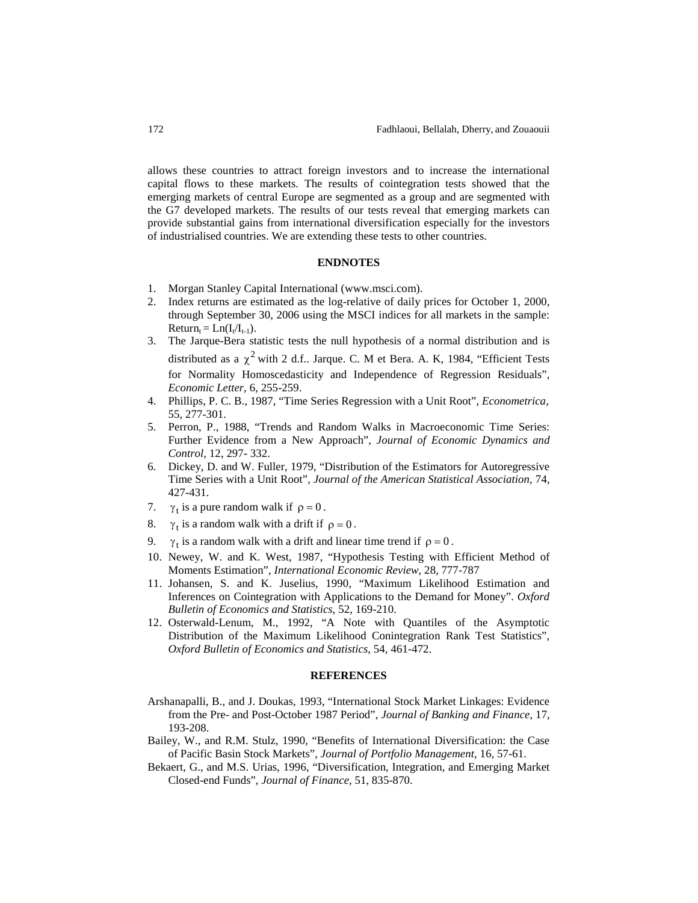allows these countries to attract foreign investors and to increase the international capital flows to these markets. The results of cointegration tests showed that the emerging markets of central Europe are segmented as a group and are segmented with the G7 developed markets. The results of our tests reveal that emerging markets can provide substantial gains from international diversification especially for the investors of industrialised countries. We are extending these tests to other countries.

## **ENDNOTES**

- 1. Morgan Stanley Capital International([www.msci.com](http://www.msci.com/)).
- 2. Index returns are estimated as the log-relative of daily prices for October 1, 2000, through September 30, 2006 using the MSCI indices for all markets in the sample:  $Return_t = Ln(I_t/I_{t-1}).$
- 3. The Jarque-Bera statistic tests the null hypothesis of a normal distribution and is distributed as a  $\chi^2$  with 2 d.f.. Jarque. C. M et Bera. A. K, 1984, "Efficient Tests for Normality Homoscedasticity and Independence of Regression Residuals", *Economic Letter*, 6, 255-259.
- 4. Phillips, P. C. B., 1987, "Time Series Regression with a Unit Root", *Econometrica*, 55, 277-301.
- 5. Perron, P., 1988, "Trends and Random Walks in Macroeconomic Time Series: Further Evidence from a New Approach", *Journal of Economic Dynamics and Control*, 12, 297- 332.
- 6. Dickey, D. and W. Fuller, 1979, "Distribution of the Estimators for Autoregressive Time Series with a Unit Root", *Journal of the American Statistical Association*, 74, 427-431.
- 7.  $\gamma_t$  is a pure random walk if  $\rho = 0$ .
- 8.  $\gamma_t$  is a random walk with a drift if  $\rho = 0$ .
- 9.  $\gamma_t$  is a random walk with a drift and linear time trend if  $\rho = 0$ .
- 10. Newey, W. and K. West, 1987, "Hypothesis Testing with Efficient Method of Moments Estimation", *International Economic Review*, 28, 777-787
- 11. Johansen, S. and K. Juselius, 1990, "Maximum Likelihood Estimation and Inferences on Cointegration with Applications to the Demand for Money". *Oxford Bulletin of Economics and Statistics*, 52, 169-210.
- 12. Osterwald-Lenum, M., 1992, "A Note with Quantiles of the Asymptotic Distribution of the Maximum Likelihood Conintegration Rank Test Statistics", *Oxford Bulletin of Economics and Statistics*, 54, 461-472.

#### **REFERENCES**

- Arshanapalli, B., and J. Doukas, 1993, "International Stock Market Linkages: Evidence from the Pre- and Post-October 1987 Period", *Journal of Banking and Finance*, 17, 193-208.
- Bailey, W., and R.M. Stulz, 1990, "Benefits of International Diversification: the Case of Pacific Basin Stock Markets", *Journal of Portfolio Management*, 16, 57-61.
- Bekaert, G., and M.S. Urias, 1996, "Diversification, Integration, and Emerging Market Closed-end Funds", *Journal of Finance*, 51, 835-870.